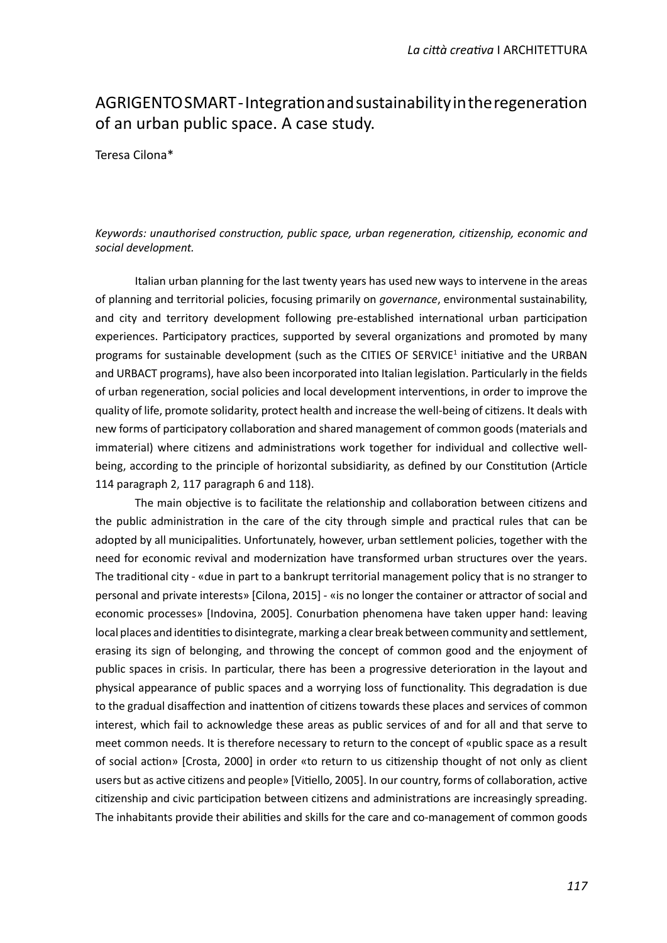## AGRIGENTO SMART - Integraton and sustainability in the regeneraton of an urban public space. A case study.

Teresa Cilona\*

## Keywords: unauthorised construction, public space, urban regeneration, citizenship, economic and *social development.*

Italian urban planning for the last twenty years has used new ways to intervene in the areas of planning and territorial policies, focusing primarily on *governance*, environmental sustainability, and city and territory development following pre-established international urban participation experiences. Participatory practices, supported by several organizations and promoted by many programs for sustainable development (such as the CITIES OF SERVICE<sup>1</sup> initiative and the URBAN and URBACT programs), have also been incorporated into Italian legislation. Particularly in the fields of urban regeneration, social policies and local development interventions, in order to improve the quality of life, promote solidarity, protect health and increase the well-being of citzens. It deals with new forms of participatory collaboration and shared management of common goods (materials and immaterial) where citizens and administrations work together for individual and collective wellbeing, according to the principle of horizontal subsidiarity, as defined by our Constitution (Article 114 paragraph 2, 117 paragraph 6 and 118).

The main objective is to facilitate the relationship and collaboration between citizens and the public administration in the care of the city through simple and practical rules that can be adopted by all municipalites. Unfortunately, however, urban setlement policies, together with the need for economic revival and modernization have transformed urban structures over the years. The traditonal city - «due in part to a bankrupt territorial management policy that is no stranger to personal and private interests» [Cilona, 2015] - «is no longer the container or atractor of social and economic processes» [Indovina, 2005]. Conurbation phenomena have taken upper hand: leaving local places and identities to disintegrate, marking a clear break between community and settlement, erasing its sign of belonging, and throwing the concept of common good and the enjoyment of public spaces in crisis. In particular, there has been a progressive deterioration in the layout and physical appearance of public spaces and a worrying loss of functionality. This degradation is due to the gradual disaffection and inattention of citizens towards these places and services of common interest, which fail to acknowledge these areas as public services of and for all and that serve to meet common needs. It is therefore necessary to return to the concept of «public space as a result of social action» [Crosta, 2000] in order «to return to us citizenship thought of not only as client users but as active citizens and people» [Vitiello, 2005]. In our country, forms of collaboration, active citizenship and civic participation between citizens and administrations are increasingly spreading. The inhabitants provide their abilites and skills for the care and co-management of common goods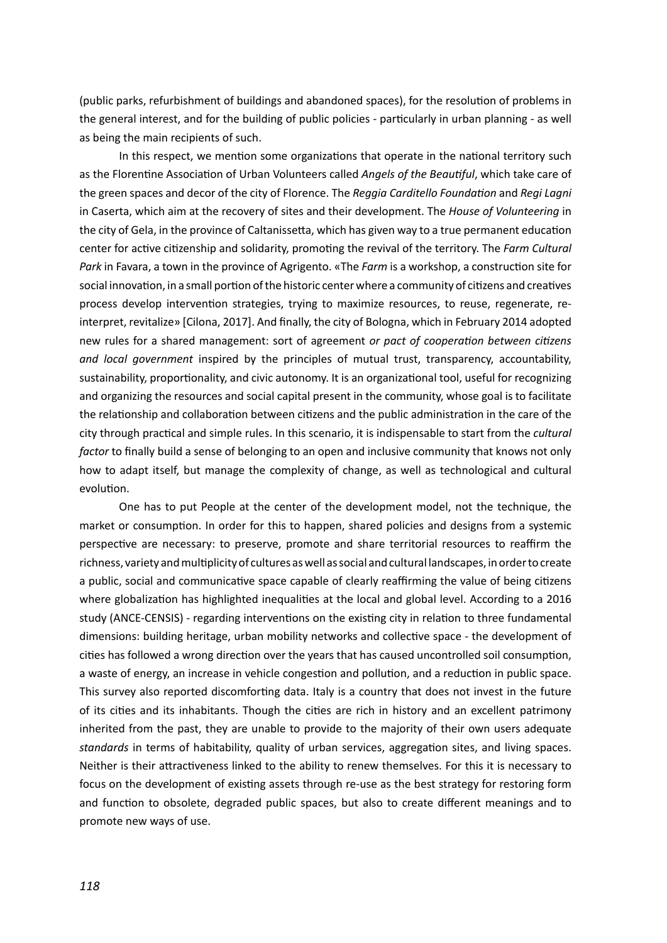(public parks, refurbishment of buildings and abandoned spaces), for the resoluton of problems in the general interest, and for the building of public policies - partcularly in urban planning - as well as being the main recipients of such.

In this respect, we mention some organizations that operate in the national territory such as the Florentne Associaton of Urban Volunteers called *Angels of the Beautful*, which take care of the green spaces and decor of the city of Florence. The *Reggia Carditello Foundaton* and *Regi Lagni* in Caserta, which aim at the recovery of sites and their development. The *House of Volunteering* in the city of Gela, in the province of Caltanissetta, which has given way to a true permanent education center for active citizenship and solidarity, promoting the revival of the territory. The *Farm Cultural Park* in Favara, a town in the province of Agrigento. «The *Farm* is a workshop, a construction site for social innovaton, in a small porton of the historic center where a community of citzens and creatves process develop intervention strategies, trying to maximize resources, to reuse, regenerate, reinterpret, revitalize» [Cilona, 2017]. And fnally, the city of Bologna, which in February 2014 adopted new rules for a shared management: sort of agreement *or pact of cooperaton between citzens and local government* inspired by the principles of mutual trust, transparency, accountability, sustainability, proportonality, and civic autonomy. It is an organizatonal tool, useful for recognizing and organizing the resources and social capital present in the community, whose goal is to facilitate the relatonship and collaboraton between citzens and the public administraton in the care of the city through practical and simple rules. In this scenario, it is indispensable to start from the *cultural factor* to fnally build a sense of belonging to an open and inclusive community that knows not only how to adapt itself, but manage the complexity of change, as well as technological and cultural evolution.

One has to put People at the center of the development model, not the technique, the market or consumption. In order for this to happen, shared policies and designs from a systemic perspective are necessary: to preserve, promote and share territorial resources to reaffirm the richness, variety and multplicity of cultures as well as social and cultural landscapes, in order to create a public, social and communicative space capable of clearly reaffirming the value of being citizens where globalization has highlighted inequalities at the local and global level. According to a 2016 study (ANCE-CENSIS) - regarding interventions on the existing city in relation to three fundamental dimensions: building heritage, urban mobility networks and collective space - the development of cities has followed a wrong direction over the years that has caused uncontrolled soil consumption, a waste of energy, an increase in vehicle congestion and pollution, and a reduction in public space. This survey also reported discomforting data. Italy is a country that does not invest in the future of its cites and its inhabitants. Though the cites are rich in history and an excellent patrimony inherited from the past, they are unable to provide to the majority of their own users adequate *standards* in terms of habitability, quality of urban services, aggregaton sites, and living spaces. Neither is their atractveness linked to the ability to renew themselves. For this it is necessary to focus on the development of existng assets through re-use as the best strategy for restoring form and function to obsolete, degraded public spaces, but also to create different meanings and to promote new ways of use.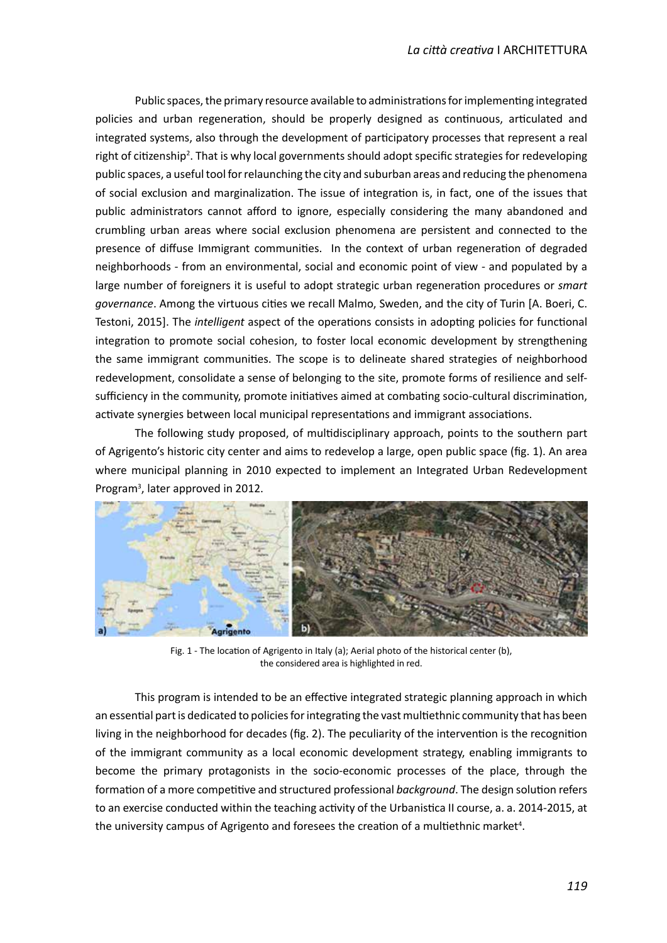Public spaces, the primary resource available to administrations for implementing integrated policies and urban regeneraton, should be properly designed as contnuous, artculated and integrated systems, also through the development of partcipatory processes that represent a real right of citizenship<sup>2</sup>. That is why local governments should adopt specific strategies for redeveloping public spaces, a useful tool for relaunching the city and suburban areas and reducing the phenomena of social exclusion and marginalization. The issue of integration is, in fact, one of the issues that public administrators cannot afford to ignore, especially considering the many abandoned and crumbling urban areas where social exclusion phenomena are persistent and connected to the presence of diffuse Immigrant communities. In the context of urban regeneration of degraded neighborhoods - from an environmental, social and economic point of view - and populated by a large number of foreigners it is useful to adopt strategic urban regeneration procedures or *smart governance*. Among the virtuous cites we recall Malmo, Sweden, and the city of Turin [A. Boeri, C. Testoni, 2015]. The *intelligent* aspect of the operations consists in adopting policies for functional integration to promote social cohesion, to foster local economic development by strengthening the same immigrant communites. The scope is to delineate shared strategies of neighborhood redevelopment, consolidate a sense of belonging to the site, promote forms of resilience and selfsufficiency in the community, promote initiatives aimed at combating socio-cultural discrimination, activate synergies between local municipal representations and immigrant associations.

The following study proposed, of multdisciplinary approach, points to the southern part of Agrigento's historic city center and aims to redevelop a large, open public space (fig. 1). An area where municipal planning in 2010 expected to implement an Integrated Urban Redevelopment Program3 , later approved in 2012.



Fig. 1 - The locaton of Agrigento in Italy (a); Aerial photo of the historical center (b), the considered area is highlighted in red.

This program is intended to be an effective integrated strategic planning approach in which an essential part is dedicated to policies for integrating the vast multiethnic community that has been living in the neighborhood for decades (fig. 2). The peculiarity of the intervention is the recognition of the immigrant community as a local economic development strategy, enabling immigrants to become the primary protagonists in the socio-economic processes of the place, through the formation of a more competitive and structured professional background. The design solution refers to an exercise conducted within the teaching activity of the Urbanistica II course, a. a. 2014-2015, at the university campus of Agrigento and foresees the creation of a multiethnic market<sup>4</sup>.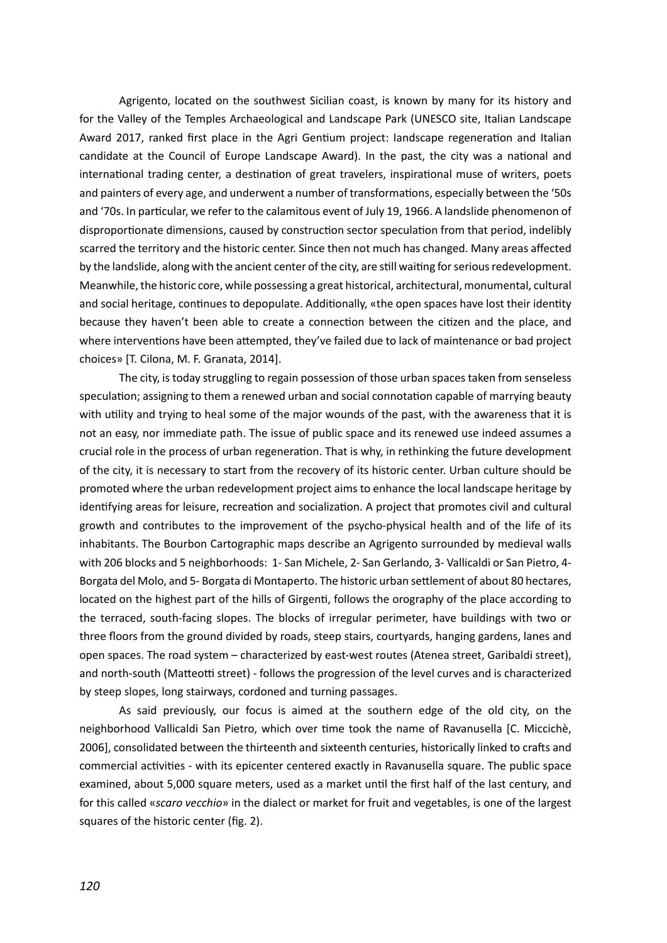Agrigento, located on the southwest Sicilian coast, is known by many for its history and for the Valley of the Temples Archaeological and Landscape Park (UNESCO site, Italian Landscape Award 2017, ranked frst place in the Agri Gentum project: Iandscape regeneraton and Italian candidate at the Council of Europe Landscape Award). In the past, the city was a natonal and international trading center, a destination of great travelers, inspirational muse of writers, poets and painters of every age, and underwent a number of transformatons, especially between the '50s and '70s. In particular, we refer to the calamitous event of July 19, 1966. A landslide phenomenon of disproportionate dimensions, caused by construction sector speculation from that period, indelibly scarred the territory and the historic center. Since then not much has changed. Many areas afected by the landslide, along with the ancient center of the city, are stll waitng for serious redevelopment. Meanwhile, the historic core, while possessing a great historical, architectural, monumental, cultural and social heritage, continues to depopulate. Additionally, «the open spaces have lost their identity because they haven't been able to create a connection between the citizen and the place, and where interventions have been attempted, they've failed due to lack of maintenance or bad project choices» [T. Cilona, M. F. Granata, 2014].

The city, is today struggling to regain possession of those urban spaces taken from senseless speculation; assigning to them a renewed urban and social connotation capable of marrying beauty with utility and trying to heal some of the major wounds of the past, with the awareness that it is not an easy, nor immediate path. The issue of public space and its renewed use indeed assumes a crucial role in the process of urban regeneraton. That is why, in rethinking the future development of the city, it is necessary to start from the recovery of its historic center. Urban culture should be promoted where the urban redevelopment project aims to enhance the local landscape heritage by identifying areas for leisure, recreation and socialization. A project that promotes civil and cultural growth and contributes to the improvement of the psycho-physical health and of the life of its inhabitants. The Bourbon Cartographic maps describe an Agrigento surrounded by medieval walls with 206 blocks and 5 neighborhoods: 1- San Michele, 2- San Gerlando, 3- Vallicaldi or San Pietro, 4- Borgata del Molo, and 5- Borgata di Montaperto. The historic urban setlement of about 80 hectares, located on the highest part of the hills of Girgenti, follows the orography of the place according to the terraced, south-facing slopes. The blocks of irregular perimeter, have buildings with two or three foors from the ground divided by roads, steep stairs, courtyards, hanging gardens, lanes and open spaces. The road system – characterized by east-west routes (Atenea street, Garibaldi street), and north-south (Matteotti street) - follows the progression of the level curves and is characterized by steep slopes, long stairways, cordoned and turning passages.

As said previously, our focus is aimed at the southern edge of the old city, on the neighborhood Vallicaldi San Pietro, which over tme took the name of Ravanusella [C. Miccichè, 2006], consolidated between the thirteenth and sixteenth centuries, historically linked to crafs and commercial actvites - with its epicenter centered exactly in Ravanusella square. The public space examined, about 5,000 square meters, used as a market until the first half of the last century, and for this called «*scaro vecchio*» in the dialect or market for fruit and vegetables, is one of the largest squares of the historic center (fig. 2).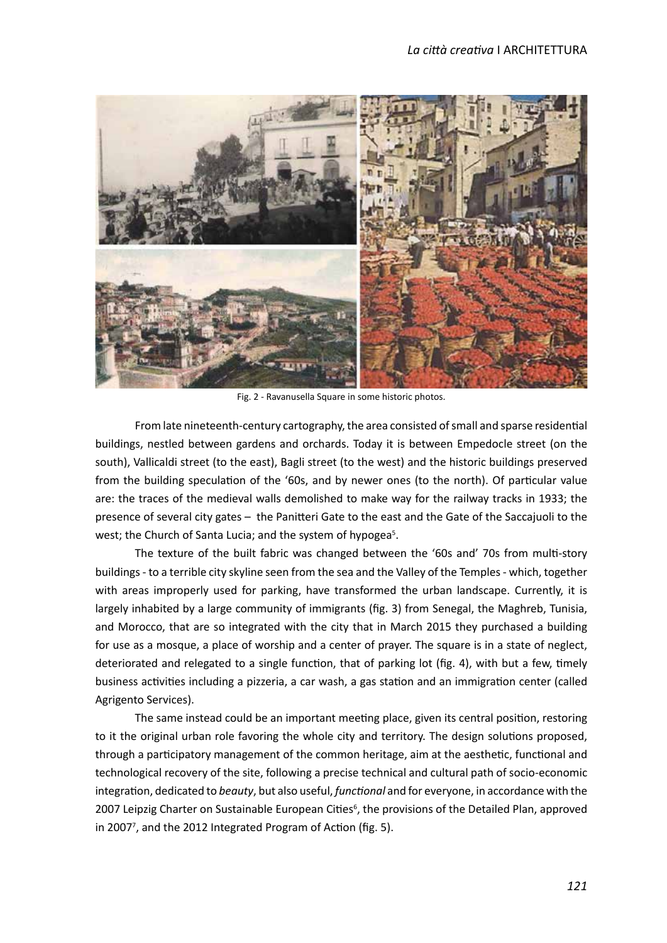

Fig. 2 - Ravanusella Square in some historic photos.

From late nineteenth-century cartography, the area consisted of small and sparse residental buildings, nestled between gardens and orchards. Today it is between Empedocle street (on the south), Vallicaldi street (to the east), Bagli street (to the west) and the historic buildings preserved from the building speculation of the '60s, and by newer ones (to the north). Of particular value are: the traces of the medieval walls demolished to make way for the railway tracks in 1933; the presence of several city gates – the Paniteri Gate to the east and the Gate of the Saccajuoli to the west; the Church of Santa Lucia; and the system of hypogea<sup>5</sup>.

The texture of the built fabric was changed between the '60s and' 70s from mult-story buildings - to a terrible city skyline seen from the sea and the Valley of the Temples - which, together with areas improperly used for parking, have transformed the urban landscape. Currently, it is largely inhabited by a large community of immigrants (fig. 3) from Senegal, the Maghreb, Tunisia, and Morocco, that are so integrated with the city that in March 2015 they purchased a building for use as a mosque, a place of worship and a center of prayer. The square is in a state of neglect, deteriorated and relegated to a single function, that of parking lot (fig. 4), with but a few, timely business activities including a pizzeria, a car wash, a gas station and an immigration center (called Agrigento Services).

The same instead could be an important meetng place, given its central positon, restoring to it the original urban role favoring the whole city and territory. The design solutons proposed, through a participatory management of the common heritage, aim at the aesthetic, functional and technological recovery of the site, following a precise technical and cultural path of socio-economic integration, dedicated to *beauty*, but also useful, *functional* and for everyone, in accordance with the 2007 Leipzig Charter on Sustainable European Cities<sup>6</sup>, the provisions of the Detailed Plan, approved in 2007<sup>7</sup>, and the 2012 Integrated Program of Action (fig. 5).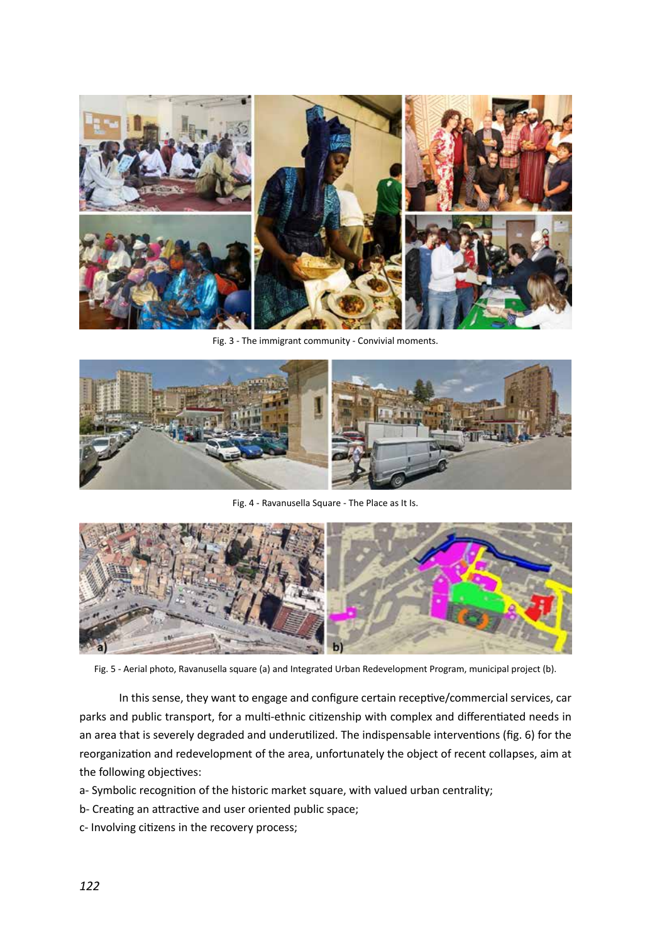

Fig. 3 - The immigrant community - Convivial moments.



Fig. 4 - Ravanusella Square - The Place as It Is.



Fig. 5 - Aerial photo, Ravanusella square (a) and Integrated Urban Redevelopment Program, municipal project (b).

In this sense, they want to engage and configure certain receptive/commercial services, car parks and public transport, for a mult-ethnic citzenship with complex and diferentated needs in an area that is severely degraded and underutilized. The indispensable interventions (fig. 6) for the reorganizaton and redevelopment of the area, unfortunately the object of recent collapses, aim at the following objectives:

a- Symbolic recogniton of the historic market square, with valued urban centrality;

- b- Creating an attractive and user oriented public space;
- c- Involving citizens in the recovery process;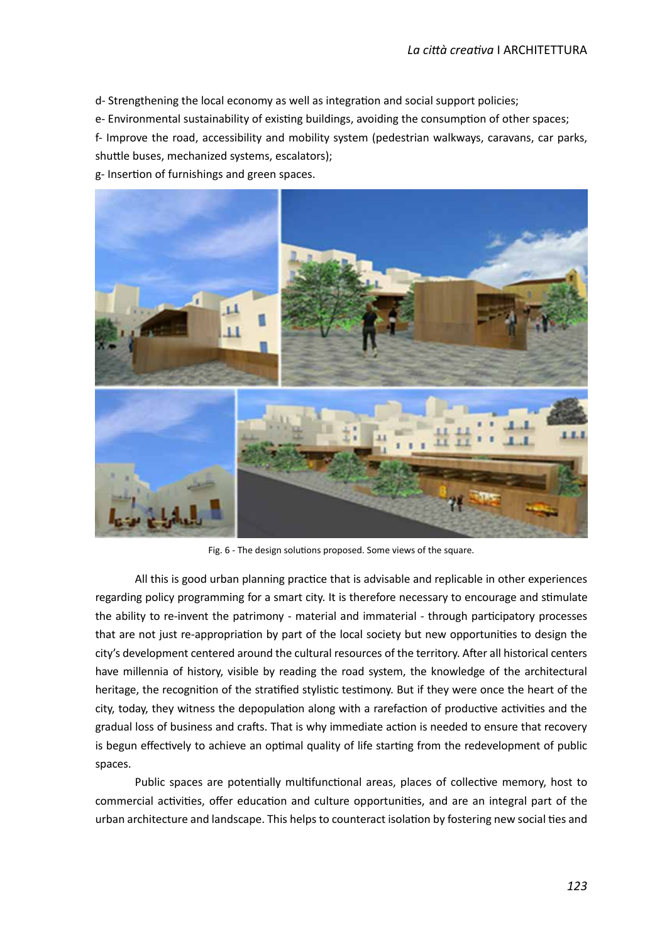d- Strengthening the local economy as well as integraton and social support policies;

e- Environmental sustainability of existing buildings, avoiding the consumption of other spaces;

f- Improve the road, accessibility and mobility system (pedestrian walkways, caravans, car parks, shutle buses, mechanized systems, escalators);

g- Inserton of furnishings and green spaces.



Fig. 6 - The design solutions proposed. Some views of the square.

All this is good urban planning practice that is advisable and replicable in other experiences regarding policy programming for a smart city. It is therefore necessary to encourage and stmulate the ability to re-invent the patrimony - material and immaterial - through partcipatory processes that are not just re-appropriation by part of the local society but new opportunities to design the city's development centered around the cultural resources of the territory. After all historical centers have millennia of history, visible by reading the road system, the knowledge of the architectural heritage, the recognition of the stratified stylistic testimony. But if they were once the heart of the city, today, they witness the depopulation along with a rarefaction of productive activities and the gradual loss of business and crafts. That is why immediate action is needed to ensure that recovery is begun effectively to achieve an optimal quality of life starting from the redevelopment of public spaces.

Public spaces are potentially multifunctional areas, places of collective memory, host to commercial activities, offer education and culture opportunities, and are an integral part of the urban architecture and landscape. This helps to counteract isolation by fostering new social ties and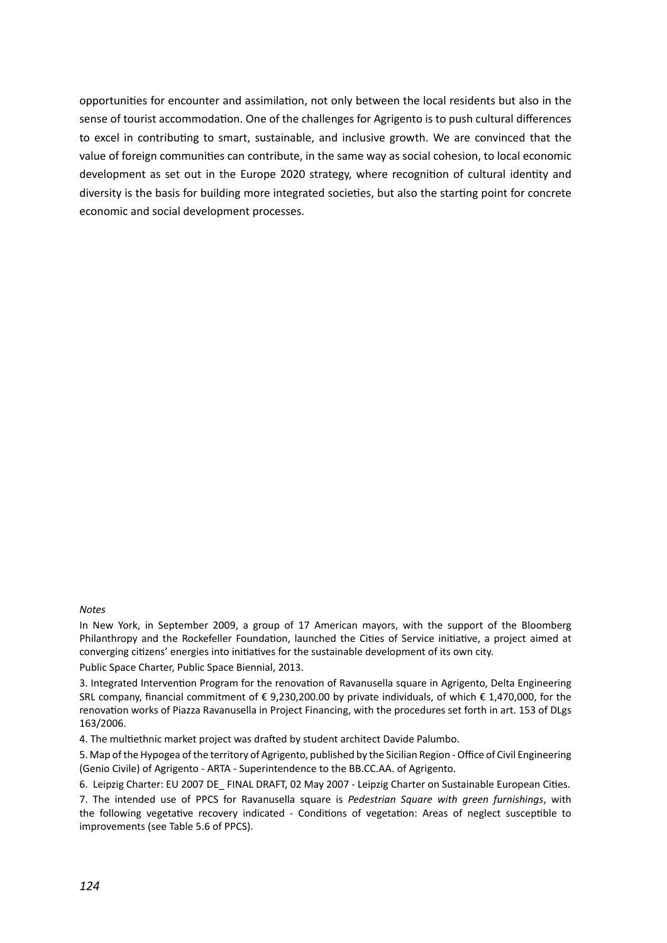opportunites for encounter and assimilaton, not only between the local residents but also in the sense of tourist accommodaton. One of the challenges for Agrigento is to push cultural diferences to excel in contributng to smart, sustainable, and inclusive growth. We are convinced that the value of foreign communites can contribute, in the same way as social cohesion, to local economic development as set out in the Europe 2020 strategy, where recogniton of cultural identty and diversity is the basis for building more integrated societies, but also the starting point for concrete economic and social development processes.

## *Notes*

In New York, in September 2009, a group of 17 American mayors, with the support of the Bloomberg Philanthropy and the Rockefeller Foundation, launched the Cities of Service initiative, a project aimed at converging citzens' energies into initatves for the sustainable development of its own city. Public Space Charter, Public Space Biennial, 2013.

3. Integrated Interventon Program for the renovaton of Ravanusella square in Agrigento, Delta Engineering SRL company, fnancial commitment of € 9,230,200.00 by private individuals, of which € 1,470,000, for the renovaton works of Piazza Ravanusella in Project Financing, with the procedures set forth in art. 153 of DLgs 163/2006.

4. The multethnic market project was drafed by student architect Davide Palumbo.

5. Map of the Hypogea of the territory of Agrigento, published by the Sicilian Region - Office of Civil Engineering (Genio Civile) of Agrigento - ARTA - Superintendence to the BB.CC.AA. of Agrigento.

6. Leipzig Charter: EU 2007 DE FINAL DRAFT, 02 May 2007 - Leipzig Charter on Sustainable European Cities. 7. The intended use of PPCS for Ravanusella square is *Pedestrian Square with green furnishings*, with the following vegetatve recovery indicated - Conditons of vegetaton: Areas of neglect susceptble to improvements (see Table 5.6 of PPCS).